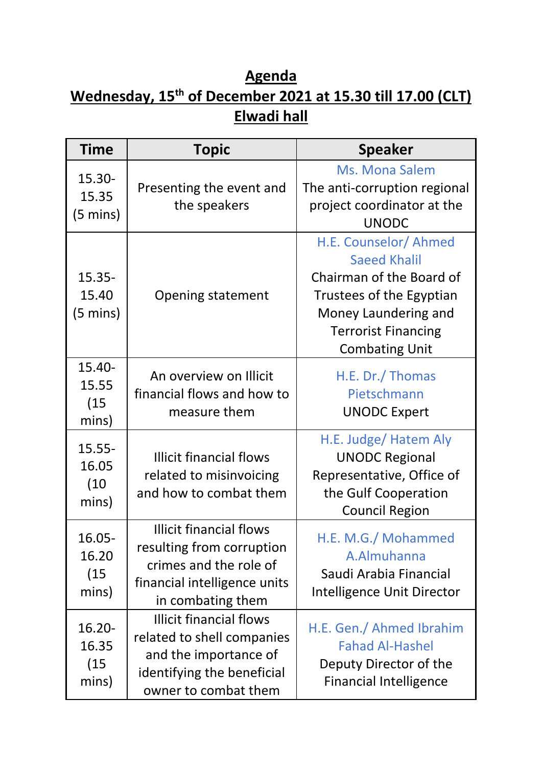## **Agenda Wednesday, 15th of December 2021 at 15.30 till 17.00 (CLT) Elwadi hall**

| <b>Time</b>                              | <b>Topic</b>                                                                                                                                | <b>Speaker</b>                                                                                                                                                                      |
|------------------------------------------|---------------------------------------------------------------------------------------------------------------------------------------------|-------------------------------------------------------------------------------------------------------------------------------------------------------------------------------------|
| 15.30-<br>15.35<br>$(5 \text{ mins})$    | Presenting the event and<br>the speakers                                                                                                    | Ms. Mona Salem<br>The anti-corruption regional<br>project coordinator at the<br><b>UNODC</b>                                                                                        |
| $15.35 -$<br>15.40<br>$(5 \text{ mins})$ | <b>Opening statement</b>                                                                                                                    | H.E. Counselor/ Ahmed<br><b>Saeed Khalil</b><br>Chairman of the Board of<br>Trustees of the Egyptian<br>Money Laundering and<br><b>Terrorist Financing</b><br><b>Combating Unit</b> |
| 15.40-<br>15.55<br>(15)<br>mins)         | An overview on Illicit<br>financial flows and how to<br>measure them                                                                        | H.E. Dr./ Thomas<br>Pietschmann<br><b>UNODC Expert</b>                                                                                                                              |
| $15.55 -$<br>16.05<br>(10)<br>mins)      | <b>Illicit financial flows</b><br>related to misinvoicing<br>and how to combat them                                                         | H.E. Judge/ Hatem Aly<br><b>UNODC Regional</b><br>Representative, Office of<br>the Gulf Cooperation<br><b>Council Region</b>                                                        |
| 16.05-<br>16.20<br>(15)<br>mins)         | <b>Illicit financial flows</b><br>resulting from corruption<br>crimes and the role of<br>financial intelligence units<br>in combating them  | H.E. M.G./ Mohammed<br>A.Almuhanna<br>Saudi Arabia Financial<br>Intelligence Unit Director                                                                                          |
| 16.20-<br>16.35<br>(15)<br>mins)         | <b>Illicit financial flows</b><br>related to shell companies<br>and the importance of<br>identifying the beneficial<br>owner to combat them | H.E. Gen./ Ahmed Ibrahim<br><b>Fahad Al-Hashel</b><br>Deputy Director of the<br><b>Financial Intelligence</b>                                                                       |